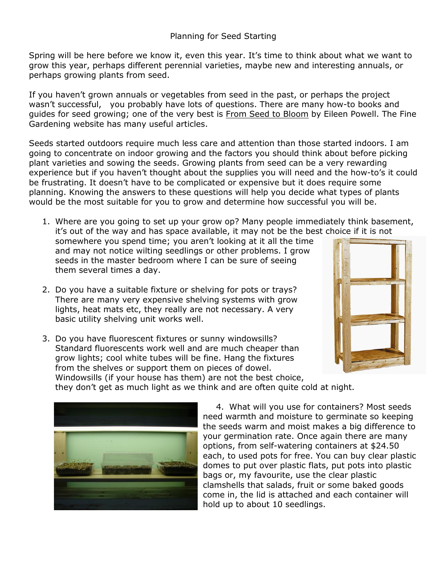Spring will be here before we know it, even this year. It's time to think about what we want to grow this year, perhaps different perennial varieties, maybe new and interesting annuals, or perhaps growing plants from seed.

If you haven't grown annuals or vegetables from seed in the past, or perhaps the project wasn't successful, you probably have lots of questions. There are many how-to books and guides for seed growing; one of the very best is From Seed to Bloom by Eileen Powell. The Fine Gardening website has many useful articles.

Seeds started outdoors require much less care and attention than those started indoors. I am going to concentrate on indoor growing and the factors you should think about before picking plant varieties and sowing the seeds. Growing plants from seed can be a very rewarding experience but if you haven't thought about the supplies you will need and the how-to's it could be frustrating. It doesn't have to be complicated or expensive but it does require some planning. Knowing the answers to these questions will help you decide what types of plants would be the most suitable for you to grow and determine how successful you will be.

1. Where are you going to set up your grow op? Many people immediately think basement, it's out of the way and has space available, it may not be the best choice if it is not

somewhere you spend time; you aren't looking at it all the time and may not notice wilting seedlings or other problems. I grow seeds in the master bedroom where I can be sure of seeing them several times a day.

- 2. Do you have a suitable fixture or shelving for pots or trays? There are many very expensive shelving systems with grow lights, heat mats etc, they really are not necessary. A very basic utility shelving unit works well.
- 

3. Do you have fluorescent fixtures or sunny windowsills? Standard fluorescents work well and are much cheaper than grow lights; cool white tubes will be fine. Hang the fixtures from the shelves or support them on pieces of dowel. Windowsills (if your house has them) are not the best choice, they don't get as much light as we think and are often quite cold at night.



4. What will you use for containers? Most seeds need warmth and moisture to germinate so keeping the seeds warm and moist makes a big difference to your germination rate. Once again there are many options, from self-watering containers at \$24.50 each, to used pots for free. You can buy clear plastic domes to put over plastic flats, put pots into plastic bags or, my favourite, use the clear plastic clamshells that salads, fruit or some baked goods come in, the lid is attached and each container will hold up to about 10 seedlings.